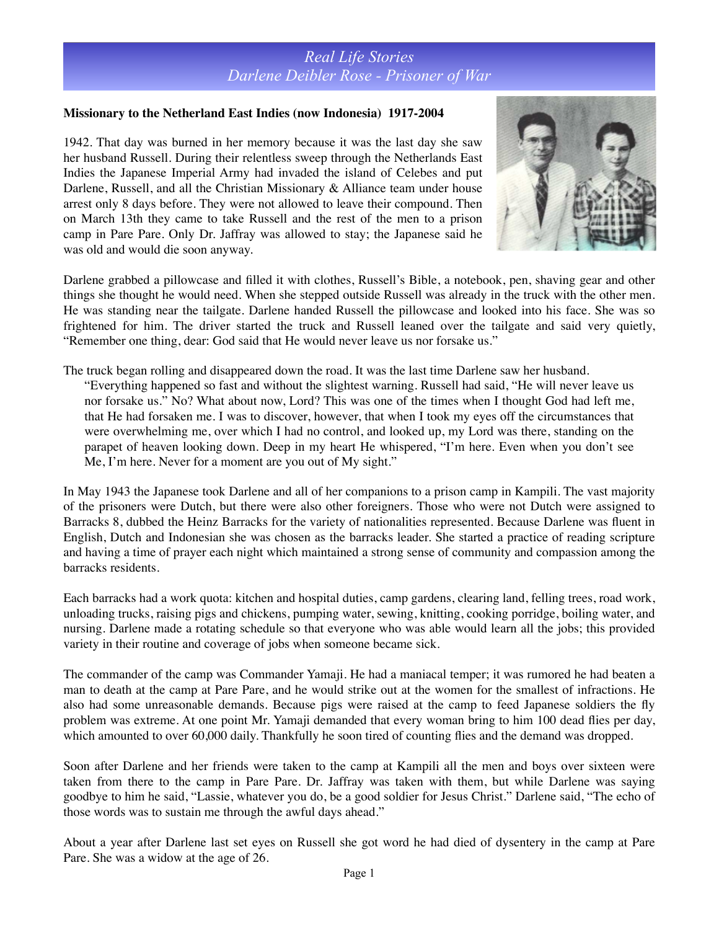#### **Missionary to the Netherland East Indies (now Indonesia) 1917-2004**

1942. That day was burned in her memory because it was the last day she saw her husband Russell. During their relentless sweep through the Netherlands East Indies the Japanese Imperial Army had invaded the island of Celebes and put Darlene, Russell, and all the Christian Missionary & Alliance team under house arrest only 8 days before. They were not allowed to leave their compound. Then on March 13th they came to take Russell and the rest of the men to a prison camp in Pare Pare. Only Dr. Jaffray was allowed to stay; the Japanese said he was old and would die soon anyway.



Darlene grabbed a pillowcase and filled it with clothes, Russell's Bible, a notebook, pen, shaving gear and other things she thought he would need. When she stepped outside Russell was already in the truck with the other men. He was standing near the tailgate. Darlene handed Russell the pillowcase and looked into his face. She was so frightened for him. The driver started the truck and Russell leaned over the tailgate and said very quietly, "Remember one thing, dear: God said that He would never leave us nor forsake us."

The truck began rolling and disappeared down the road. It was the last time Darlene saw her husband. "Everything happened so fast and without the slightest warning. Russell had said, "He will never leave us nor forsake us." No? What about now, Lord? This was one of the times when I thought God had left me, that He had forsaken me. I was to discover, however, that when I took my eyes off the circumstances that were overwhelming me, over which I had no control, and looked up, my Lord was there, standing on the parapet of heaven looking down. Deep in my heart He whispered, "I'm here. Even when you don't see Me, I'm here. Never for a moment are you out of My sight."

In May 1943 the Japanese took Darlene and all of her companions to a prison camp in Kampili. The vast majority of the prisoners were Dutch, but there were also other foreigners. Those who were not Dutch were assigned to Barracks 8, dubbed the Heinz Barracks for the variety of nationalities represented. Because Darlene was fluent in English, Dutch and Indonesian she was chosen as the barracks leader. She started a practice of reading scripture and having a time of prayer each night which maintained a strong sense of community and compassion among the barracks residents.

Each barracks had a work quota: kitchen and hospital duties, camp gardens, clearing land, felling trees, road work, unloading trucks, raising pigs and chickens, pumping water, sewing, knitting, cooking porridge, boiling water, and nursing. Darlene made a rotating schedule so that everyone who was able would learn all the jobs; this provided variety in their routine and coverage of jobs when someone became sick.

The commander of the camp was Commander Yamaji. He had a maniacal temper; it was rumored he had beaten a man to death at the camp at Pare Pare, and he would strike out at the women for the smallest of infractions. He also had some unreasonable demands. Because pigs were raised at the camp to feed Japanese soldiers the fly problem was extreme. At one point Mr. Yamaji demanded that every woman bring to him 100 dead flies per day, which amounted to over 60,000 daily. Thankfully he soon tired of counting flies and the demand was dropped.

Soon after Darlene and her friends were taken to the camp at Kampili all the men and boys over sixteen were taken from there to the camp in Pare Pare. Dr. Jaffray was taken with them, but while Darlene was saying goodbye to him he said, "Lassie, whatever you do, be a good soldier for Jesus Christ." Darlene said, "The echo of those words was to sustain me through the awful days ahead."

About a year after Darlene last set eyes on Russell she got word he had died of dysentery in the camp at Pare Pare. She was a widow at the age of 26.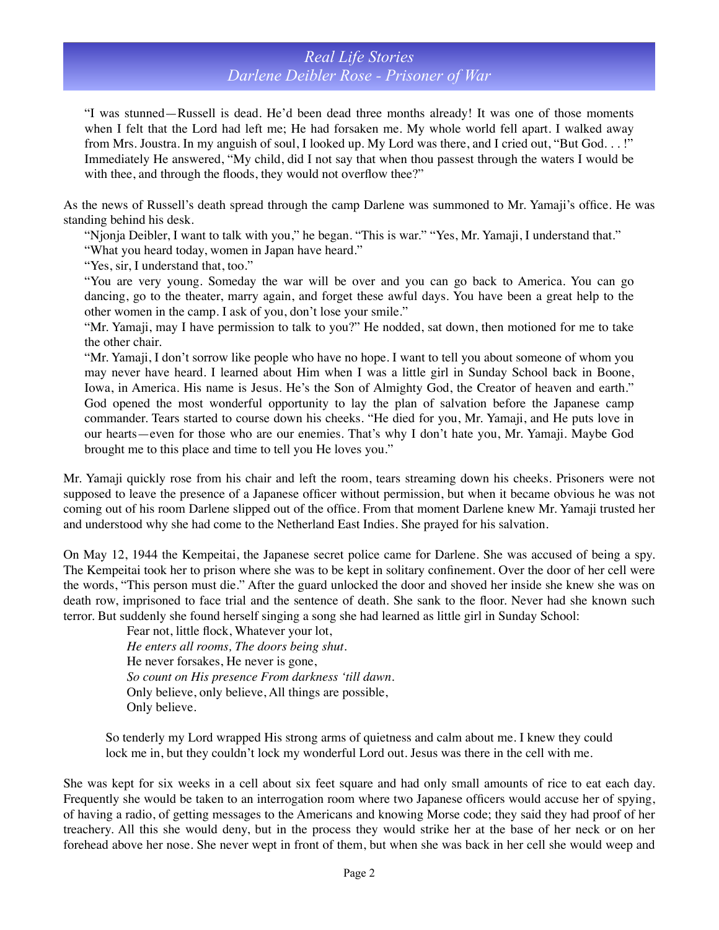"I was stunned—Russell is dead. He'd been dead three months already! It was one of those moments when I felt that the Lord had left me; He had forsaken me. My whole world fell apart. I walked away from Mrs. Joustra. In my anguish of soul, I looked up. My Lord was there, and I cried out, "But God. . . !" Immediately He answered, "My child, did I not say that when thou passest through the waters I would be with thee, and through the floods, they would not overflow thee?"

As the news of Russell's death spread through the camp Darlene was summoned to Mr. Yamaji's office. He was standing behind his desk.

"Njonja Deibler, I want to talk with you," he began. "This is war." "Yes, Mr. Yamaji, I understand that."

"What you heard today, women in Japan have heard."

"Yes, sir, I understand that, too."

"You are very young. Someday the war will be over and you can go back to America. You can go dancing, go to the theater, marry again, and forget these awful days. You have been a great help to the other women in the camp. I ask of you, don't lose your smile."

"Mr. Yamaji, may I have permission to talk to you?" He nodded, sat down, then motioned for me to take the other chair.

"Mr. Yamaji, I don't sorrow like people who have no hope. I want to tell you about someone of whom you may never have heard. I learned about Him when I was a little girl in Sunday School back in Boone, Iowa, in America. His name is Jesus. He's the Son of Almighty God, the Creator of heaven and earth." God opened the most wonderful opportunity to lay the plan of salvation before the Japanese camp commander. Tears started to course down his cheeks. "He died for you, Mr. Yamaji, and He puts love in our hearts—even for those who are our enemies. That's why I don't hate you, Mr. Yamaji. Maybe God brought me to this place and time to tell you He loves you."

Mr. Yamaji quickly rose from his chair and left the room, tears streaming down his cheeks. Prisoners were not supposed to leave the presence of a Japanese officer without permission, but when it became obvious he was not coming out of his room Darlene slipped out of the office. From that moment Darlene knew Mr. Yamaji trusted her and understood why she had come to the Netherland East Indies. She prayed for his salvation.

On May 12, 1944 the Kempeitai, the Japanese secret police came for Darlene. She was accused of being a spy. The Kempeitai took her to prison where she was to be kept in solitary confinement. Over the door of her cell were the words, "This person must die." After the guard unlocked the door and shoved her inside she knew she was on death row, imprisoned to face trial and the sentence of death. She sank to the floor. Never had she known such terror. But suddenly she found herself singing a song she had learned as little girl in Sunday School:

> Fear not, little flock, Whatever your lot, *He enters all rooms, The doors being shut.*  He never forsakes, He never is gone, *So count on His presence From darkness 'till dawn.* Only believe, only believe, All things are possible, Only believe.

So tenderly my Lord wrapped His strong arms of quietness and calm about me. I knew they could lock me in, but they couldn't lock my wonderful Lord out. Jesus was there in the cell with me.

She was kept for six weeks in a cell about six feet square and had only small amounts of rice to eat each day. Frequently she would be taken to an interrogation room where two Japanese officers would accuse her of spying, of having a radio, of getting messages to the Americans and knowing Morse code; they said they had proof of her treachery. All this she would deny, but in the process they would strike her at the base of her neck or on her forehead above her nose. She never wept in front of them, but when she was back in her cell she would weep and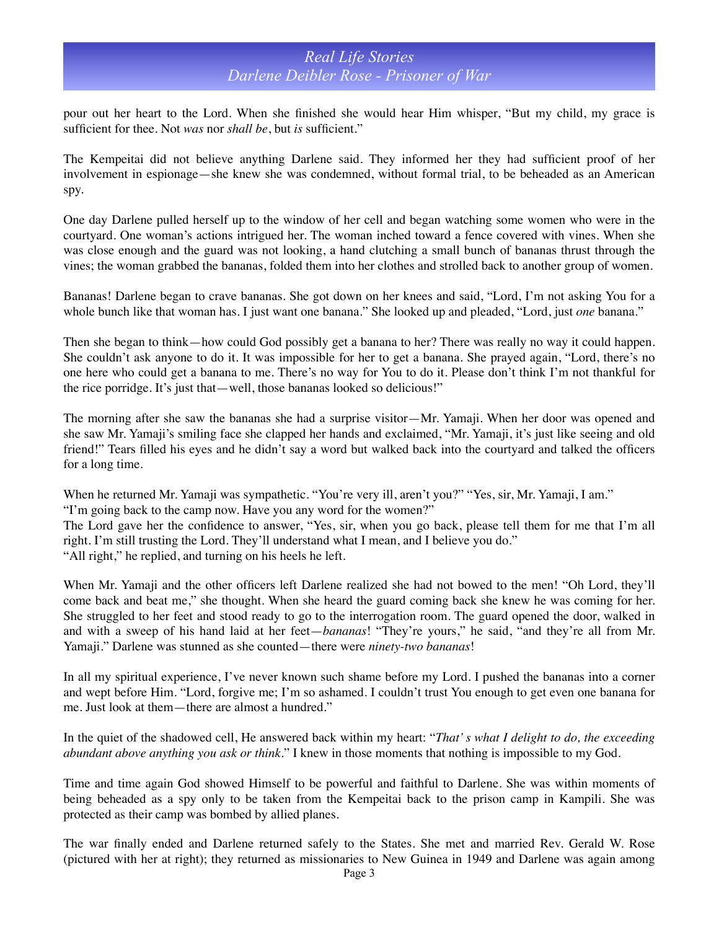pour out her heart to the Lord. When she finished she would hear Him whisper, "But my child, my grace is sufficient for thee. Not *was* nor *shall be*, but *is* sufficient."

The Kempeitai did not believe anything Darlene said. They informed her they had sufficient proof of her involvement in espionage—she knew she was condemned, without formal trial, to be beheaded as an American spy.

One day Darlene pulled herself up to the window of her cell and began watching some women who were in the courtyard. One woman's actions intrigued her. The woman inched toward a fence covered with vines. When she was close enough and the guard was not looking, a hand clutching a small bunch of bananas thrust through the vines; the woman grabbed the bananas, folded them into her clothes and strolled back to another group of women.

Bananas! Darlene began to crave bananas. She got down on her knees and said, "Lord, I'm not asking You for a whole bunch like that woman has. I just want one banana." She looked up and pleaded, "Lord, just *one* banana."

Then she began to think—how could God possibly get a banana to her? There was really no way it could happen. She couldn't ask anyone to do it. It was impossible for her to get a banana. She prayed again, "Lord, there's no one here who could get a banana to me. There's no way for You to do it. Please don't think I'm not thankful for the rice porridge. It's just that—well, those bananas looked so delicious!"

The morning after she saw the bananas she had a surprise visitor—Mr. Yamaji. When her door was opened and she saw Mr. Yamaji's smiling face she clapped her hands and exclaimed, "Mr. Yamaji, it's just like seeing and old friend!" Tears filled his eyes and he didn't say a word but walked back into the courtyard and talked the officers for a long time.

When he returned Mr. Yamaji was sympathetic. "You're very ill, aren't you?" "Yes, sir, Mr. Yamaji, I am." "I'm going back to the camp now. Have you any word for the women?" The Lord gave her the confidence to answer, "Yes, sir, when you go back, please tell them for me that I'm all right. I'm still trusting the Lord. They'll understand what I mean, and I believe you do."

"All right," he replied, and turning on his heels he left.

When Mr. Yamaji and the other officers left Darlene realized she had not bowed to the men! "Oh Lord, they'll come back and beat me," she thought. When she heard the guard coming back she knew he was coming for her. She struggled to her feet and stood ready to go to the interrogation room. The guard opened the door, walked in and with a sweep of his hand laid at her feet—*bananas*! "They're yours," he said, "and they're all from Mr. Yamaji." Darlene was stunned as she counted—there were *ninety-two bananas*!

In all my spiritual experience, I've never known such shame before my Lord. I pushed the bananas into a corner and wept before Him. "Lord, forgive me; I'm so ashamed. I couldn't trust You enough to get even one banana for me. Just look at them—there are almost a hundred."

In the quiet of the shadowed cell, He answered back within my heart: "*That' s what I delight to do, the exceeding abundant above anything you ask or think*." I knew in those moments that nothing is impossible to my God.

Time and time again God showed Himself to be powerful and faithful to Darlene. She was within moments of being beheaded as a spy only to be taken from the Kempeitai back to the prison camp in Kampili. She was protected as their camp was bombed by allied planes.

The war finally ended and Darlene returned safely to the States. She met and married Rev. Gerald W. Rose (pictured with her at right); they returned as missionaries to New Guinea in 1949 and Darlene was again among